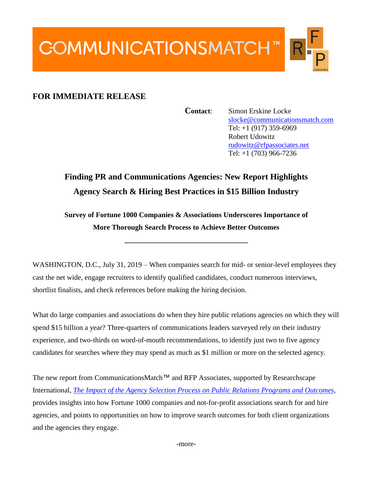

## **FOR IMMEDIATE RELEASE**

**Contact:** Simon Erskine Locke [slocke@communicationsmatch.com](mailto:%20slocke@communicationsmatch.com) Tel: +1 (917) 359-6969 Robert Udowitz [rudowitz@rfpassociates.net](mailto:rudowitz@rfpassociates.net) Tel: +1 (703) 966-7236

## **Finding PR and Communications Agencies: New Report Highlights Agency Search & Hiring Best Practices in \$15 Billion Industry**

**Survey of Fortune 1000 Companies & Associations Underscores Importance of More Thorough Search Process to Achieve Better Outcomes** 

**\_\_\_\_\_\_\_\_\_\_\_\_\_\_\_\_\_\_\_\_\_\_\_\_\_\_\_\_\_\_\_\_\_\_**

WASHINGTON, D.C., July 31, 2019 – When companies search for mid- or senior-level employees they cast the net wide, engage recruiters to identify qualified candidates, conduct numerous interviews, shortlist finalists, and check references before making the hiring decision.

What do large companies and associations do when they hire public relations agencies on which they will spend \$15 billion a year? Three-quarters of communications leaders surveyed rely on their industry experience, and two-thirds on word-of-mouth recommendations, to identify just two to five agency candidates for searches where they may spend as much as \$1 million or more on the selected agency.

The new report from CommunicationsMatch™ and RFP Associates, supported by Researchscape International, *The Impact of the Agency Selection Process [on Public Relations Programs and Outcomes,](https://instituteforpr.org/the-impact-of-the-agency-selection-process-on-public-relations-programs-outcomes/)* provides insights into how Fortune 1000 companies and not-for-profit associations search for and hire agencies, and points to opportunities on how to improve search outcomes for both client organizations and the agencies they engage.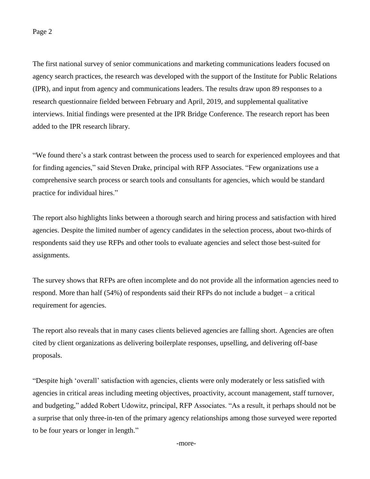The first national survey of senior communications and marketing communications leaders focused on agency search practices, the research was developed with the support of the Institute for Public Relations (IPR), and input from agency and communications leaders. The results draw upon 89 responses to a research questionnaire fielded between February and April, 2019, and supplemental qualitative interviews. Initial findings were presented at the IPR Bridge Conference. The research report has been added to the IPR research library.

"We found there's a stark contrast between the process used to search for experienced employees and that for finding agencies," said Steven Drake, principal with RFP Associates. "Few organizations use a comprehensive search process or search tools and consultants for agencies, which would be standard practice for individual hires."

The report also highlights links between a thorough search and hiring process and satisfaction with hired agencies. Despite the limited number of agency candidates in the selection process, about two-thirds of respondents said they use RFPs and other tools to evaluate agencies and select those best-suited for assignments.

The survey shows that RFPs are often incomplete and do not provide all the information agencies need to respond. More than half (54%) of respondents said their RFPs do not include a budget – a critical requirement for agencies.

The report also reveals that in many cases clients believed agencies are falling short. Agencies are often cited by client organizations as delivering boilerplate responses, upselling, and delivering off-base proposals.

"Despite high 'overall' satisfaction with agencies, clients were only moderately or less satisfied with agencies in critical areas including meeting objectives, proactivity, account management, staff turnover, and budgeting," added Robert Udowitz, principal, RFP Associates. "As a result, it perhaps should not be a surprise that only three-in-ten of the primary agency relationships among those surveyed were reported to be four years or longer in length."